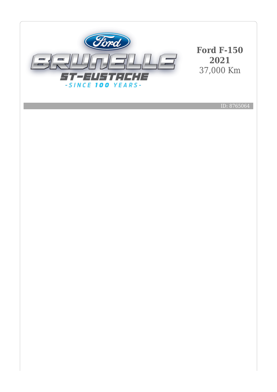

**Ford F-150 2021** 37,000 Km

ID: 8765064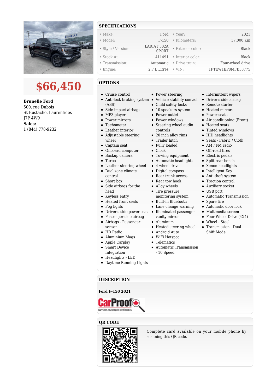

# **\$66,450**

#### **Brunelle Ford**

500, rue Dubois St-Eustache, Laurentides J7P 4W9 **Sales:** 1 (844) 778-9232

### **SPECIFICATIONS**

| $\bullet$ Make:    | Ford                        | $\bullet$ Year:   | 2021              |
|--------------------|-----------------------------|-------------------|-------------------|
| • Model:           | $F-150$                     | · Kilometers:     | 37,000 Km         |
| • Style / Version: | LARIAT 502A<br><b>SPORT</b> | • Exterior color: | Black             |
| $\bullet$ Stock #: | 411491                      | • Interior color: | Black             |
| • Transmission:    | Automatic                   | • Drive train:    | Four-wheel drive  |
| • Engine:          | 2.7 L Litres                | $\cdot$ VIN:      | 1FTEW1EP8MFB38775 |

#### **OPTIONS**

- Cruise control
- (ABS)
- Side impact airbags
- MP3 player
- Power mirrors
- Tachometer
- Leather interior
- Adjustable steering wheel
- Captain seat
- Onboard computer
- Backup camera
- Turbo
- Leather steering wheel
- Dual zone climate
- control
- Short box
- Side airbags for the head
- $\bullet~$  Keyless entry
- Heated front seats
- Fog lights
- Driver's side power seat •
- Passenger side airbag
- $\bullet$ Airbags - Passenger sensor
- HD Radio
- Aluminium Mags
- Apple Carplay
- Smart Device
- 

**DESCRIPTION**

RAPPORTS HISTORIQUES DE VÉHICULES

- 
- Daytime Running Lights
- Power steering
- Anti-lock braking system Vehicle stability control Driver's side airbag
	- Child safety locks
	- 10 speakers system
	- Power outlet
	- Power windows
	- Steering wheel audio controls
	- 20 inch alloy rims
	- Trailer hitch
	- Fully loaded
	- Clock
	- Towing equipment
	- Automatic headlights
	- 4 wheel drive
	- Digital compass
	- Rear trunk access
	- Rear tow hook
	- Alloy wheels
	- Tire pressure monitoring system
	- Built-in Bluetooth
	- Lane change warning
	- Illuminated passenger
		- vanity mirror
	- Aluminum
	- Heated steering wheel
	- Android Auto
	- WiFi Hotspot
	- Telematics
	- Automatic Transmission - 10 Speed
- Intermittent wipers
- 
- Remote starter
- Heated mirrors
- Power seats
- Air conditioning (Front)
- Heated seats
- Tinted windows
- HID headlights
- Seats Fabric / Cloth
- AM / FM radio
- Off-road tires
- Electric pedals
- Split rear bench
- Xenon headlights
- Intelligent Key
- Anti-theft system
- $\bullet~$  Traction control
- Auxiliary socket
- USB port
- Automatic Transmission
- Spare tire
- Automatic door lock
- Multimedia screen
- Four Wheel Drive (4X4)
- Wheel Steel
- Transmission Dual Shift Mode

**Ford F-150 2021**





Complete card available on your mobile phone by scanning this QR code.

- 
- 
- Integration Headlights - LED